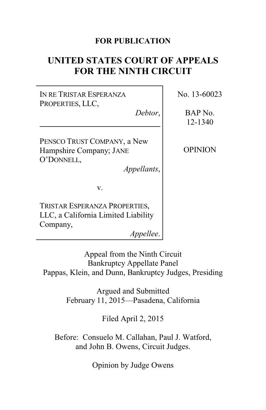## **FOR PUBLICATION**

# **UNITED STATES COURT OF APPEALS FOR THE NINTH CIRCUIT**

IN RE TRISTAR ESPERANZA PROPERTIES, LLC,

*Debtor*,

PENSCO TRUST COMPANY, a New Hampshire Company; JANE O'DONNELL,

*Appellants*,

v.

TRISTAR ESPERANZA PROPERTIES, LLC, a California Limited Liability Company,

*Appellee*.

Appeal from the Ninth Circuit Bankruptcy Appellate Panel Pappas, Klein, and Dunn, Bankruptcy Judges, Presiding

> Argued and Submitted February 11, 2015—Pasadena, California

> > Filed April 2, 2015

Before: Consuelo M. Callahan, Paul J. Watford, and John B. Owens, Circuit Judges.

Opinion by Judge Owens

No. 13-60023

BAP No. 12-1340

OPINION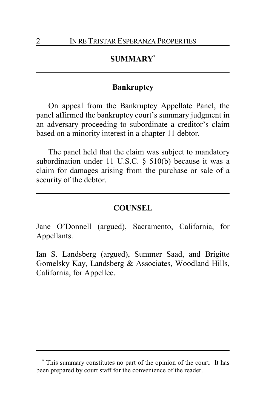# **SUMMARY\***

#### **Bankruptcy**

On appeal from the Bankruptcy Appellate Panel, the panel affirmed the bankruptcy court's summary judgment in an adversary proceeding to subordinate a creditor's claim based on a minority interest in a chapter 11 debtor.

The panel held that the claim was subject to mandatory subordination under 11 U.S.C. § 510(b) because it was a claim for damages arising from the purchase or sale of a security of the debtor.

#### **COUNSEL**

Jane O'Donnell (argued), Sacramento, California, for Appellants.

Ian S. Landsberg (argued), Summer Saad, and Brigitte Gomelsky Kay, Landsberg & Associates, Woodland Hills, California, for Appellee.

**<sup>\*</sup>** This summary constitutes no part of the opinion of the court. It has been prepared by court staff for the convenience of the reader.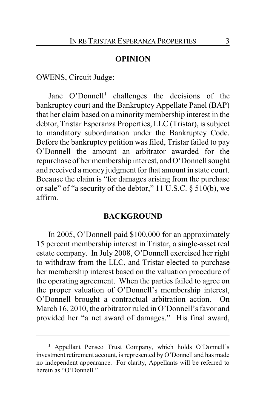#### **OPINION**

OWENS, Circuit Judge:

Jane O'Donnell **1** challenges the decisions of the bankruptcy court and the Bankruptcy Appellate Panel (BAP) that her claim based on a minority membership interest in the debtor, Tristar Esperanza Properties, LLC (Tristar), is subject to mandatory subordination under the Bankruptcy Code. Before the bankruptcy petition was filed, Tristar failed to pay O'Donnell the amount an arbitrator awarded for the repurchase of her membership interest, and O'Donnell sought and received a money judgment for that amount in state court. Because the claim is "for damages arising from the purchase or sale" of "a security of the debtor," 11 U.S.C. § 510(b), we affirm.

## **BACKGROUND**

In 2005, O'Donnell paid \$100,000 for an approximately 15 percent membership interest in Tristar, a single-asset real estate company. In July 2008, O'Donnell exercised her right to withdraw from the LLC, and Tristar elected to purchase her membership interest based on the valuation procedure of the operating agreement. When the parties failed to agree on the proper valuation of O'Donnell's membership interest, O'Donnell brought a contractual arbitration action. On March 16, 2010, the arbitrator ruled in O'Donnell's favor and provided her "a net award of damages." His final award,

**<sup>1</sup>** Appellant Pensco Trust Company, which holds O'Donnell's investment retirement account, is represented by O'Donnell and has made no independent appearance. For clarity, Appellants will be referred to herein as "O'Donnell."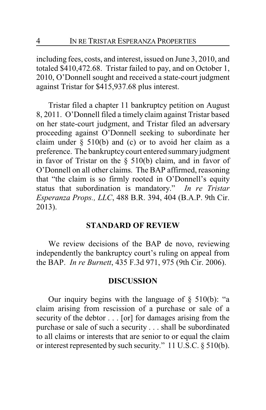including fees, costs, and interest, issued on June 3, 2010, and totaled \$410,472.68. Tristar failed to pay, and on October 1, 2010, O'Donnell sought and received a state-court judgment against Tristar for \$415,937.68 plus interest.

Tristar filed a chapter 11 bankruptcy petition on August 8, 2011. O'Donnell filed a timely claim against Tristar based on her state-court judgment, and Tristar filed an adversary proceeding against O'Donnell seeking to subordinate her claim under  $\S$  510(b) and (c) or to avoid her claim as a preference. The bankruptcy court entered summary judgment in favor of Tristar on the § 510(b) claim, and in favor of O'Donnell on all other claims. The BAP affirmed, reasoning that "the claim is so firmly rooted in O'Donnell's equity status that subordination is mandatory." *In re Tristar Esperanza Props., LLC*, 488 B.R. 394, 404 (B.A.P. 9th Cir. 2013).

## **STANDARD OF REVIEW**

We review decisions of the BAP de novo, reviewing independently the bankruptcy court's ruling on appeal from the BAP. *In re Burnett*, 435 F.3d 971, 975 (9th Cir. 2006).

#### **DISCUSSION**

Our inquiry begins with the language of  $\S$  510(b): "a claim arising from rescission of a purchase or sale of a security of the debtor . . . [or] for damages arising from the purchase or sale of such a security . . . shall be subordinated to all claims or interests that are senior to or equal the claim or interest represented by such security." 11 U.S.C. § 510(b).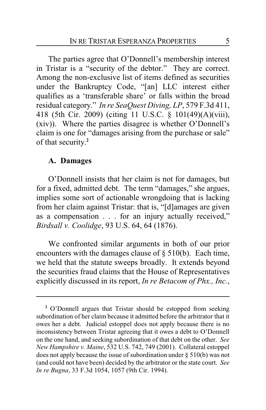The parties agree that O'Donnell's membership interest in Tristar is a "security of the debtor." They are correct. Among the non-exclusive list of items defined as securities under the Bankruptcy Code, "[an] LLC interest either qualifies as a 'transferable share' or falls within the broad residual category." *In re SeaQuest Diving, LP*, 579 F.3d 411, 418 (5th Cir. 2009) (citing 11 U.S.C. § 101(49)(A)(viii), (xiv)). Where the parties disagree is whether O'Donnell's claim is one for "damages arising from the purchase or sale" of that security. **2**

#### **A. Damages**

O'Donnell insists that her claim is not for damages, but for a fixed, admitted debt. The term "damages," she argues, implies some sort of actionable wrongdoing that is lacking from her claim against Tristar: that is, "[d]amages are given as a compensation . . . for an injury actually received," *Birdsall v. Coolidge*, 93 U.S. 64, 64 (1876).

We confronted similar arguments in both of our prior encounters with the damages clause of § 510(b). Each time, we held that the statute sweeps broadly. It extends beyond the securities fraud claims that the House of Representatives explicitly discussed in its report, *In re Betacom of Phx., Inc.*,

**<sup>2</sup>** O'Donnell argues that Tristar should be estopped from seeking subordination of her claim because it admitted before the arbitrator that it owes her a debt. Judicial estoppel does not apply because there is no inconsistency between Tristar agreeing that it owes a debt to O'Donnell on the one hand, and seeking subordination of that debt on the other. *See New Hampshire v. Maine*, 532 U.S. 742, 749 (2001). Collateral estoppel does not apply because the issue of subordination under  $\S 510(b)$  was not (and could not have been) decided by the arbitrator or the state court. *See In re Bugna*, 33 F.3d 1054, 1057 (9th Cir. 1994).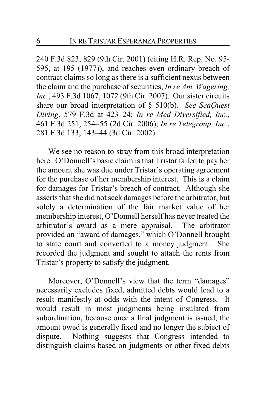240 F.3d 823, 829 (9th Cir. 2001) (citing H.R. Rep. No. 95- 595, at 195 (1977)), and reaches even ordinary breach of contract claims so long as there is a sufficient nexus between the claim and the purchase of securities, *In re Am. Wagering, Inc.*, 493 F.3d 1067, 1072 (9th Cir. 2007). Our sister circuits share our broad interpretation of § 510(b). *See SeaQuest Diving*, 579 F.3d at 423–24; *In re Med Diversified, Inc.*, 461 F.3d 251, 254–55 (2d Cir. 2006); *In re Telegroup, Inc.*, 281 F.3d 133, 143–44 (3d Cir. 2002).

We see no reason to stray from this broad interpretation here. O'Donnell's basic claim is that Tristar failed to pay her the amount she was due under Tristar's operating agreement for the purchase of her membership interest. This is a claim for damages for Tristar's breach of contract. Although she asserts that she did not seek damages before the arbitrator, but solely a determination of the fair market value of her membership interest, O'Donnell herself has never treated the arbitrator's award as a mere appraisal. The arbitrator provided an "award of damages," which O'Donnell brought to state court and converted to a money judgment. She recorded the judgment and sought to attach the rents from Tristar's property to satisfy the judgment.

Moreover, O'Donnell's view that the term "damages" necessarily excludes fixed, admitted debts would lead to a result manifestly at odds with the intent of Congress. It would result in most judgments being insulated from subordination, because once a final judgment is issued, the amount owed is generally fixed and no longer the subject of dispute. Nothing suggests that Congress intended to distinguish claims based on judgments or other fixed debts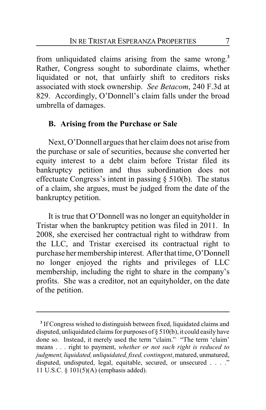from unliquidated claims arising from the same wrong. **3** Rather, Congress sought to subordinate claims, whether liquidated or not, that unfairly shift to creditors risks associated with stock ownership. *See Betacom*, 240 F.3d at 829. Accordingly, O'Donnell's claim falls under the broad umbrella of damages.

## **B. Arising from the Purchase or Sale**

Next, O'Donnell argues that her claim does not arise from the purchase or sale of securities, because she converted her equity interest to a debt claim before Tristar filed its bankruptcy petition and thus subordination does not effectuate Congress's intent in passing § 510(b). The status of a claim, she argues, must be judged from the date of the bankruptcy petition.

It is true that O'Donnell was no longer an equityholder in Tristar when the bankruptcy petition was filed in 2011. In 2008, she exercised her contractual right to withdraw from the LLC, and Tristar exercised its contractual right to purchase her membership interest. After that time, O'Donnell no longer enjoyed the rights and privileges of LLC membership, including the right to share in the company's profits. She was a creditor, not an equityholder, on the date of the petition.

**<sup>3</sup>** If Congress wished to distinguish between fixed, liquidated claims and disputed, unliquidated claims for purposes of § 510(b), it could easily have done so. Instead, it merely used the term "claim." "The term 'claim' means . . . right to payment, *whether or not such right is reduced to judgment,liquidated, unliquidated,fixed, contingent*, matured, unmatured, disputed, undisputed, legal, equitable, secured, or unsecured . . . ." 11 U.S.C. § 101(5)(A) (emphasis added).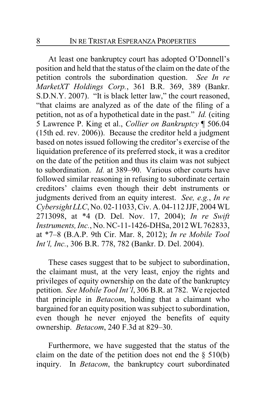At least one bankruptcy court has adopted O'Donnell's position and held that the status of the claim on the date of the petition controls the subordination question. *See In re MarketXT Holdings Corp.*, 361 B.R. 369, 389 (Bankr. S.D.N.Y. 2007). "It is black letter law," the court reasoned, "that claims are analyzed as of the date of the filing of a petition, not as of a hypothetical date in the past." *Id.* (citing 5 Lawrence P. King et al., *Collier on Bankruptcy* ¶ 506.04 (15th ed. rev. 2006)). Because the creditor held a judgment based on notes issued following the creditor's exercise of the liquidation preference of its preferred stock, it was a creditor on the date of the petition and thus its claim was not subject to subordination. *Id.* at 389–90. Various other courts have followed similar reasoning in refusing to subordinate certain creditors' claims even though their debt instruments or judgments derived from an equity interest. *See, e.g.*, *In re Cybersight LLC*, No. 02-11033, Civ. A. 04-112 JJF, 2004 WL 2713098, at \*4 (D. Del. Nov. 17, 2004); *In re Swift Instruments, Inc.*, No. NC-11-1426-DHSa, 2012 WL762833, at \*7–8 (B.A.P. 9th Cir. Mar. 8, 2012); *In re Mobile Tool Int'l, Inc.*, 306 B.R. 778, 782 (Bankr. D. Del. 2004).

These cases suggest that to be subject to subordination, the claimant must, at the very least, enjoy the rights and privileges of equity ownership on the date of the bankruptcy petition. *See Mobile Tool Int'l*, 306 B.R. at 782. We rejected that principle in *Betacom*, holding that a claimant who bargained for an equity position was subject to subordination, even though he never enjoyed the benefits of equity ownership. *Betacom*, 240 F.3d at 829–30.

Furthermore, we have suggested that the status of the claim on the date of the petition does not end the  $\S$  510(b) inquiry. In *Betacom*, the bankruptcy court subordinated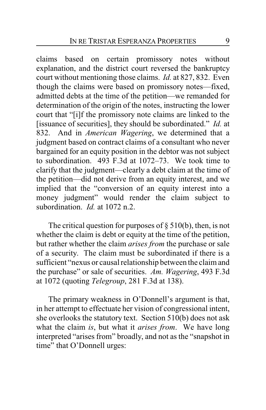claims based on certain promissory notes without explanation, and the district court reversed the bankruptcy court without mentioning those claims. *Id.* at 827, 832. Even though the claims were based on promissory notes—fixed, admitted debts at the time of the petition—we remanded for determination of the origin of the notes, instructing the lower court that "[i]f the promissory note claims are linked to the [issuance of securities], they should be subordinated." *Id.* at 832. And in *American Wagering*, we determined that a judgment based on contract claims of a consultant who never bargained for an equity position in the debtor was not subject to subordination. 493 F.3d at 1072–73. We took time to clarify that the judgment—clearly a debt claim at the time of the petition—did not derive from an equity interest, and we implied that the "conversion of an equity interest into a money judgment" would render the claim subject to subordination. *Id.* at 1072 n.2.

The critical question for purposes of  $\S 510(b)$ , then, is not whether the claim is debt or equity at the time of the petition, but rather whether the claim *arises from* the purchase or sale of a security. The claim must be subordinated if there is a sufficient "nexus or causal relationship between the claim and the purchase" or sale of securities. *Am. Wagering*, 493 F.3d at 1072 (quoting *Telegroup*, 281 F.3d at 138).

The primary weakness in O'Donnell's argument is that, in her attempt to effectuate her vision of congressional intent, she overlooks the statutory text. Section 510(b) does not ask what the claim *is*, but what it *arises from*. We have long interpreted "arises from" broadly, and not as the "snapshot in time" that O'Donnell urges: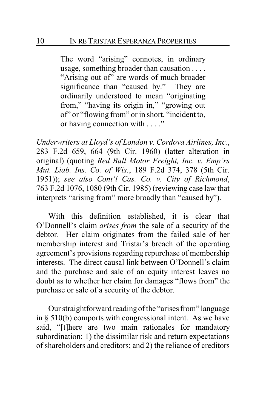The word "arising" connotes, in ordinary usage, something broader than causation . . . . "Arising out of" are words of much broader significance than "caused by." They are ordinarily understood to mean "originating from," "having its origin in," "growing out of" or "flowing from" or in short, "incident to, or having connection with . . . ."

*Underwriters at Lloyd's of London v. Cordova Airlines, Inc.*, 283 F.2d 659, 664 (9th Cir. 1960) (latter alteration in original) (quoting *Red Ball Motor Freight, Inc. v. Emp'rs Mut. Liab. Ins. Co. of Wis.*, 189 F.2d 374, 378 (5th Cir. 1951)); *see also Cont'l Cas. Co. v. City of Richmond*, 763 F.2d 1076, 1080 (9th Cir. 1985) (reviewing case law that interprets "arising from" more broadly than "caused by").

With this definition established, it is clear that O'Donnell's claim *arises from* the sale of a security of the debtor. Her claim originates from the failed sale of her membership interest and Tristar's breach of the operating agreement's provisions regarding repurchase of membership interests. The direct causal link between O'Donnell's claim and the purchase and sale of an equity interest leaves no doubt as to whether her claim for damages "flows from" the purchase or sale of a security of the debtor.

Our straightforward reading of the "arises from" language in  $\S$  510(b) comports with congressional intent. As we have said, "[t]here are two main rationales for mandatory subordination: 1) the dissimilar risk and return expectations of shareholders and creditors; and 2) the reliance of creditors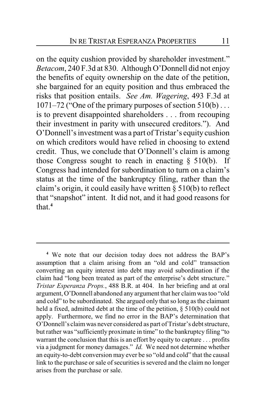on the equity cushion provided by shareholder investment." *Betacom*, 240 F.3d at 830. Although O'Donnell did not enjoy the benefits of equity ownership on the date of the petition, she bargained for an equity position and thus embraced the risks that position entails. *See Am. Wagering*, 493 F.3d at 1071–72 ("One of the primary purposes of section 510(b) . . . is to prevent disappointed shareholders . . . from recouping their investment in parity with unsecured creditors."). And O'Donnell's investment was a part of Tristar's equity cushion on which creditors would have relied in choosing to extend credit. Thus, we conclude that O'Donnell's claim is among those Congress sought to reach in enacting  $\S$  510(b). If Congress had intended for subordination to turn on a claim's status at the time of the bankruptcy filing, rather than the claim's origin, it could easily have written § 510(b) to reflect that "snapshot" intent. It did not, and it had good reasons for that.**<sup>4</sup>**

**<sup>4</sup>** We note that our decision today does not address the BAP's assumption that a claim arising from an "old and cold" transaction converting an equity interest into debt may avoid subordination if the claim had "long been treated as part of the enterprise's debt structure." *Tristar Esperanza Props.*, 488 B.R. at 404. In her briefing and at oral argument, O'Donnell abandoned any argument that her claimwas too "old and cold" to be subordinated. She argued only that so long as the claimant held a fixed, admitted debt at the time of the petition,  $\S$  510(b) could not apply. Furthermore, we find no error in the BAP's determination that O'Donnell's claim was never considered as part of Tristar's debt structure, but rather was "sufficiently proximate in time" to the bankruptcy filing "to warrant the conclusion that this is an effort by equity to capture . . . profits via a judgment for money damages." *Id.* We need not determine whether an equity-to-debt conversion may ever be so "old and cold" that the causal link to the purchase or sale of securities is severed and the claim no longer arises from the purchase or sale.